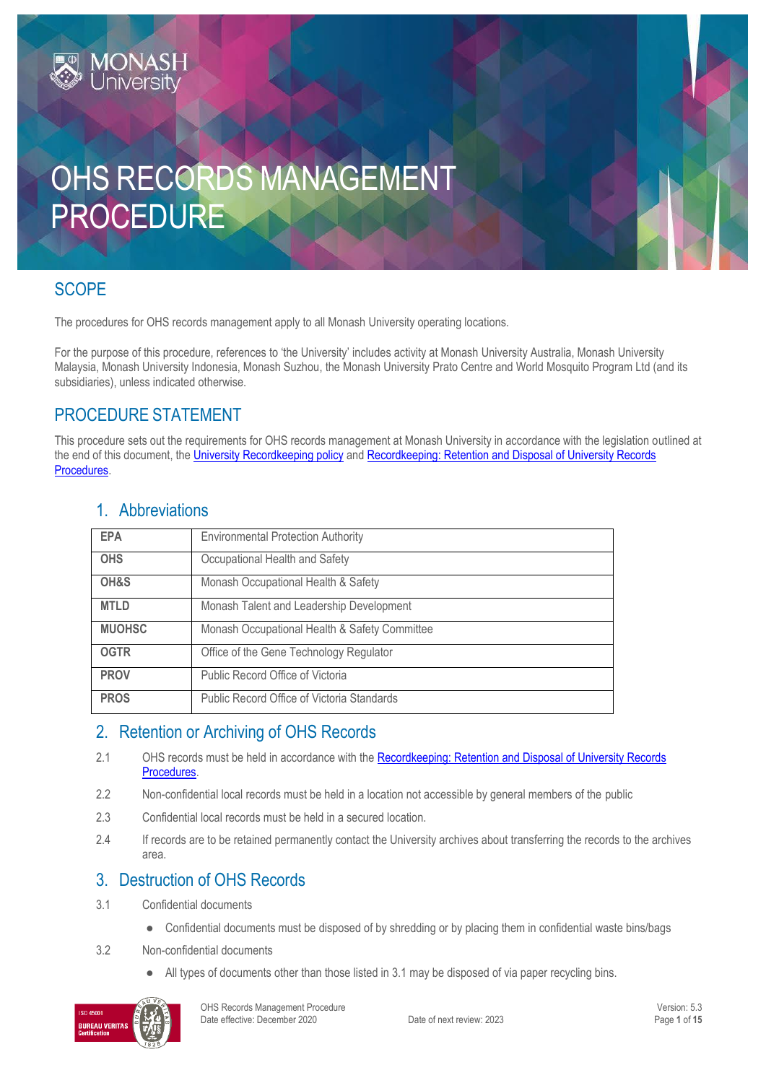# OHS RECORDS MANAGEMENT PROCEDURE

## SCOPE

The procedures for OHS records management apply to all Monash University operating locations.

For the purpose of this procedure, references to 'the University' includes activity at Monash University Australia, Monash University Malaysia, Monash University Indonesia, Monash Suzhou, the Monash University Prato Centre and World Mosquito Program Ltd (and its subsidiaries), unless indicated otherwise.

## PROCEDURE STATEMENT

**MONASH**<br>University

This procedure sets out the requirements for OHS records management at Monash University in accordance with the legislation outlined at the end of this document, th[e University Recordkeeping policy](https://publicpolicydms.monash.edu/Monash/documents/1909270) an[d Recordkeeping: Retention and Disposal of University Records](https://publicpolicydms.monash.edu/Monash/documents/1909279)  [Procedures.](https://publicpolicydms.monash.edu/Monash/documents/1909279)

| <b>EPA</b>    | <b>Environmental Protection Authority</b>     |
|---------------|-----------------------------------------------|
| <b>OHS</b>    | Occupational Health and Safety                |
| OH&S          | Monash Occupational Health & Safety           |
| <b>MTLD</b>   | Monash Talent and Leadership Development      |
| <b>MUOHSC</b> | Monash Occupational Health & Safety Committee |
| <b>OGTR</b>   | Office of the Gene Technology Regulator       |
| <b>PROV</b>   | Public Record Office of Victoria              |
| <b>PROS</b>   | Public Record Office of Victoria Standards    |

## 1. Abbreviations

## 2. Retention or Archiving of OHS Records

- 2.1 OHS records must be held in accordance with the Recordkeeping: Retention and Disposal of University Records [Procedures.](https://publicpolicydms.monash.edu/Monash/documents/1909279)
- 2.2 Non-confidential local records must be held in a location not accessible by general members of the public
- 2.3 Confidential local records must be held in a secured location.
- 2.4 If records are to be retained permanently contact the University archives about transferring the records to the archives area.

## 3. Destruction of OHS Records

- 3.1 Confidential documents
	- Confidential documents must be disposed of by shredding or by placing them in confidential waste bins/bags
- 3.2 Non-confidential documents
	- All types of documents other than those listed in 3.1 may be disposed of via paper recycling bins.

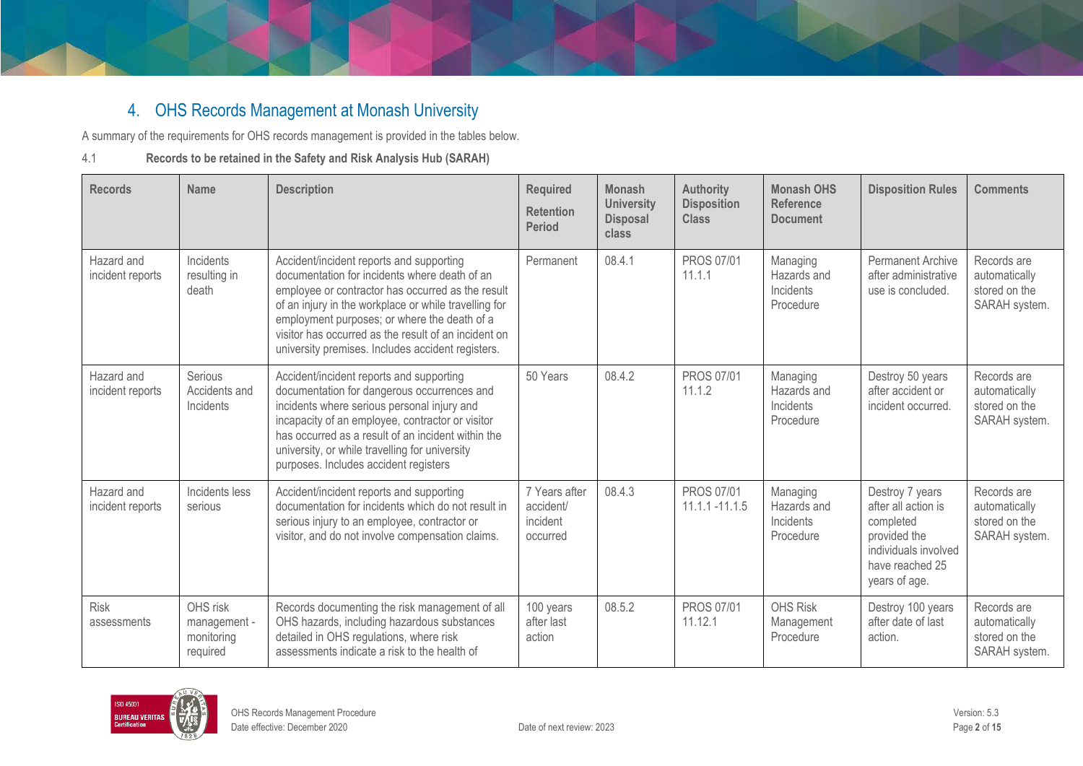# 4. OHS Records Management at Monash University

A summary of the requirements for OHS records management is provided in the tables below.

#### 4.1 **Records to be retained in the Safety and Risk Analysis Hub (SARAH)**

| <b>Records</b>                 | Name                                               | <b>Description</b>                                                                                                                                                                                                                                                                                                                                                   | <b>Required</b><br><b>Retention</b><br><b>Period</b> | <b>Monash</b><br><b>University</b><br><b>Disposal</b><br>class | <b>Authority</b><br><b>Disposition</b><br><b>Class</b> | <b>Monash OHS</b><br><b>Reference</b><br><b>Document</b> | <b>Disposition Rules</b>                                                                                                        | <b>Comments</b>                                                |
|--------------------------------|----------------------------------------------------|----------------------------------------------------------------------------------------------------------------------------------------------------------------------------------------------------------------------------------------------------------------------------------------------------------------------------------------------------------------------|------------------------------------------------------|----------------------------------------------------------------|--------------------------------------------------------|----------------------------------------------------------|---------------------------------------------------------------------------------------------------------------------------------|----------------------------------------------------------------|
| Hazard and<br>incident reports | Incidents<br>resulting in<br>death                 | Accident/incident reports and supporting<br>documentation for incidents where death of an<br>employee or contractor has occurred as the result<br>of an injury in the workplace or while travelling for<br>employment purposes; or where the death of a<br>visitor has occurred as the result of an incident on<br>university premises. Includes accident registers. | Permanent                                            | 08.4.1                                                         | <b>PROS 07/01</b><br>11.1.1                            | Managing<br>Hazards and<br>Incidents<br>Procedure        | <b>Permanent Archive</b><br>after administrative<br>use is concluded.                                                           | Records are<br>automatically<br>stored on the<br>SARAH system. |
| Hazard and<br>incident reports | Serious<br>Accidents and<br>Incidents              | Accident/incident reports and supporting<br>documentation for dangerous occurrences and<br>incidents where serious personal injury and<br>incapacity of an employee, contractor or visitor<br>has occurred as a result of an incident within the<br>university, or while travelling for university<br>purposes. Includes accident registers                          | 50 Years                                             | 08.4.2                                                         | PROS 07/01<br>11.1.2                                   | Managing<br>Hazards and<br>Incidents<br>Procedure        | Destroy 50 years<br>after accident or<br>incident occurred.                                                                     | Records are<br>automatically<br>stored on the<br>SARAH system. |
| Hazard and<br>incident reports | Incidents less<br>serious                          | Accident/incident reports and supporting<br>documentation for incidents which do not result in<br>serious injury to an employee, contractor or<br>visitor, and do not involve compensation claims.                                                                                                                                                                   | 7 Years after<br>accident/<br>incident<br>occurred   | 08.4.3                                                         | <b>PROS 07/01</b><br>$11.1.1 - 11.1.5$                 | Managing<br>Hazards and<br>Incidents<br>Procedure        | Destroy 7 years<br>after all action is<br>completed<br>provided the<br>individuals involved<br>have reached 25<br>years of age. | Records are<br>automatically<br>stored on the<br>SARAH system. |
| <b>Risk</b><br>assessments     | OHS risk<br>management -<br>monitoring<br>required | Records documenting the risk management of all<br>OHS hazards, including hazardous substances<br>detailed in OHS regulations, where risk<br>assessments indicate a risk to the health of                                                                                                                                                                             | 100 years<br>after last<br>action                    | 08.5.2                                                         | PROS 07/01<br>11.12.1                                  | <b>OHS Risk</b><br>Management<br>Procedure               | Destroy 100 years<br>after date of last<br>action.                                                                              | Records are<br>automatically<br>stored on the<br>SARAH system. |

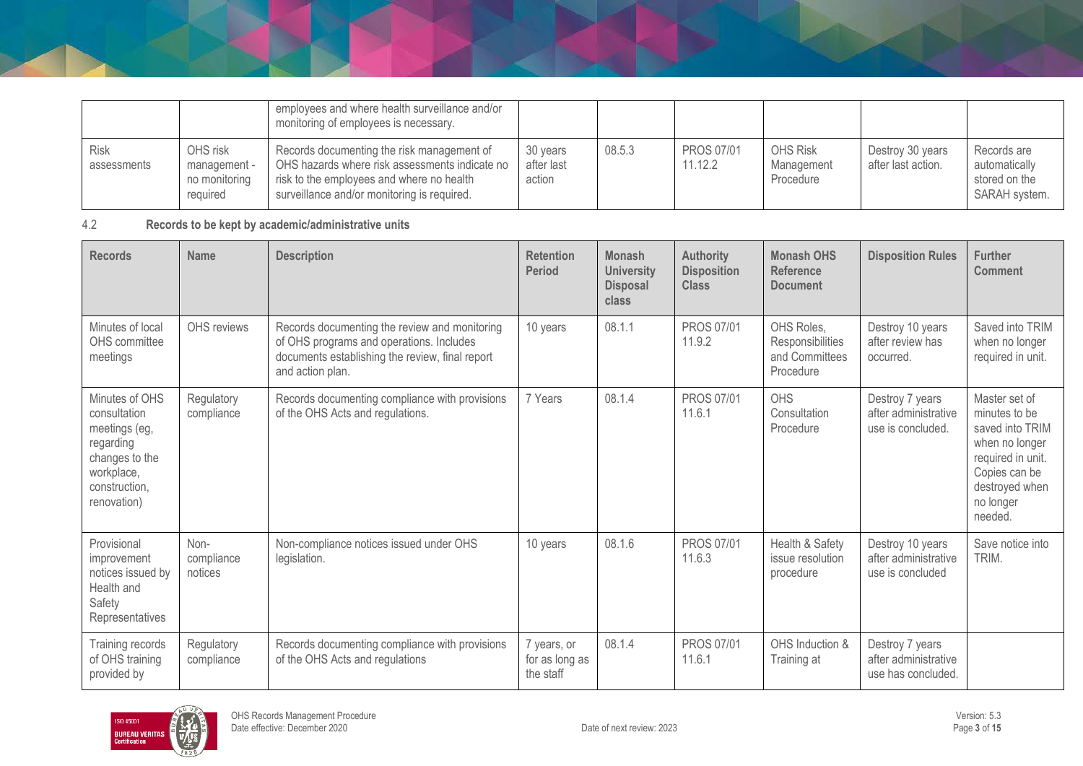|                            |                                                       | employees and where health surveillance and/or<br>monitoring of employees is necessary.                                                                                                  |                                  |        |                              |                                            |                                        |                                                                |
|----------------------------|-------------------------------------------------------|------------------------------------------------------------------------------------------------------------------------------------------------------------------------------------------|----------------------------------|--------|------------------------------|--------------------------------------------|----------------------------------------|----------------------------------------------------------------|
| <b>Risk</b><br>assessments | OHS risk<br>management -<br>no monitoring<br>reauired | Records documenting the risk management of<br>OHS hazards where risk assessments indicate no<br>risk to the employees and where no health<br>surveillance and/or monitoring is required. | 30 years<br>after last<br>action | 08.5.3 | <b>PROS 07/01</b><br>11.12.2 | <b>OHS Risk</b><br>Management<br>Procedure | Destroy 30 years<br>after last action. | Records are<br>automatically<br>stored on the<br>SARAH system. |

#### 4.2 **Records to be kept by academic/administrative units**

| <b>Records</b>                                                                                                               | <b>Name</b>                   | <b>Description</b>                                                                                                                                               | <b>Retention</b><br><b>Period</b>          | <b>Monash</b><br><b>University</b><br><b>Disposal</b><br>class | <b>Authority</b><br><b>Disposition</b><br><b>Class</b> | <b>Monash OHS</b><br><b>Reference</b><br><b>Document</b>      | <b>Disposition Rules</b>                                      | <b>Further</b><br><b>Comment</b>                                                                                                                    |
|------------------------------------------------------------------------------------------------------------------------------|-------------------------------|------------------------------------------------------------------------------------------------------------------------------------------------------------------|--------------------------------------------|----------------------------------------------------------------|--------------------------------------------------------|---------------------------------------------------------------|---------------------------------------------------------------|-----------------------------------------------------------------------------------------------------------------------------------------------------|
| Minutes of local<br>OHS committee<br>meetings                                                                                | OHS reviews                   | Records documenting the review and monitoring<br>of OHS programs and operations. Includes<br>documents establishing the review, final report<br>and action plan. | 10 years                                   | 08.1.1                                                         | <b>PROS 07/01</b><br>11.9.2                            | OHS Roles.<br>Responsibilities<br>and Committees<br>Procedure | Destroy 10 years<br>after review has<br>occurred.             | Saved into TRIM<br>when no longer<br>required in unit.                                                                                              |
| Minutes of OHS<br>consultation<br>meetings (eg,<br>regarding<br>changes to the<br>workplace,<br>construction,<br>renovation) | Regulatory<br>compliance      | Records documenting compliance with provisions<br>of the OHS Acts and regulations.                                                                               | 7 Years                                    | 08.1.4                                                         | <b>PROS 07/01</b><br>11.6.1                            | <b>OHS</b><br>Consultation<br>Procedure                       | Destroy 7 years<br>after administrative<br>use is concluded.  | Master set of<br>minutes to be<br>saved into TRIM<br>when no longer<br>required in unit.<br>Copies can be<br>destroyed when<br>no longer<br>needed. |
| Provisional<br>improvement<br>notices issued by<br>Health and<br>Safety<br>Representatives                                   | Non-<br>compliance<br>notices | Non-compliance notices issued under OHS<br>legislation.                                                                                                          | 10 years                                   | 08.1.6                                                         | <b>PROS 07/01</b><br>11.6.3                            | Health & Safety<br>issue resolution<br>procedure              | Destroy 10 years<br>after administrative<br>use is concluded  | Save notice into<br>TRIM.                                                                                                                           |
| Training records<br>of OHS training<br>provided by                                                                           | Regulatory<br>compliance      | Records documenting compliance with provisions<br>of the OHS Acts and regulations                                                                                | 7 years, or<br>for as long as<br>the staff | 08.1.4                                                         | PROS 07/01<br>11.6.1                                   | OHS Induction &<br>Training at                                | Destroy 7 years<br>after administrative<br>use has concluded. |                                                                                                                                                     |

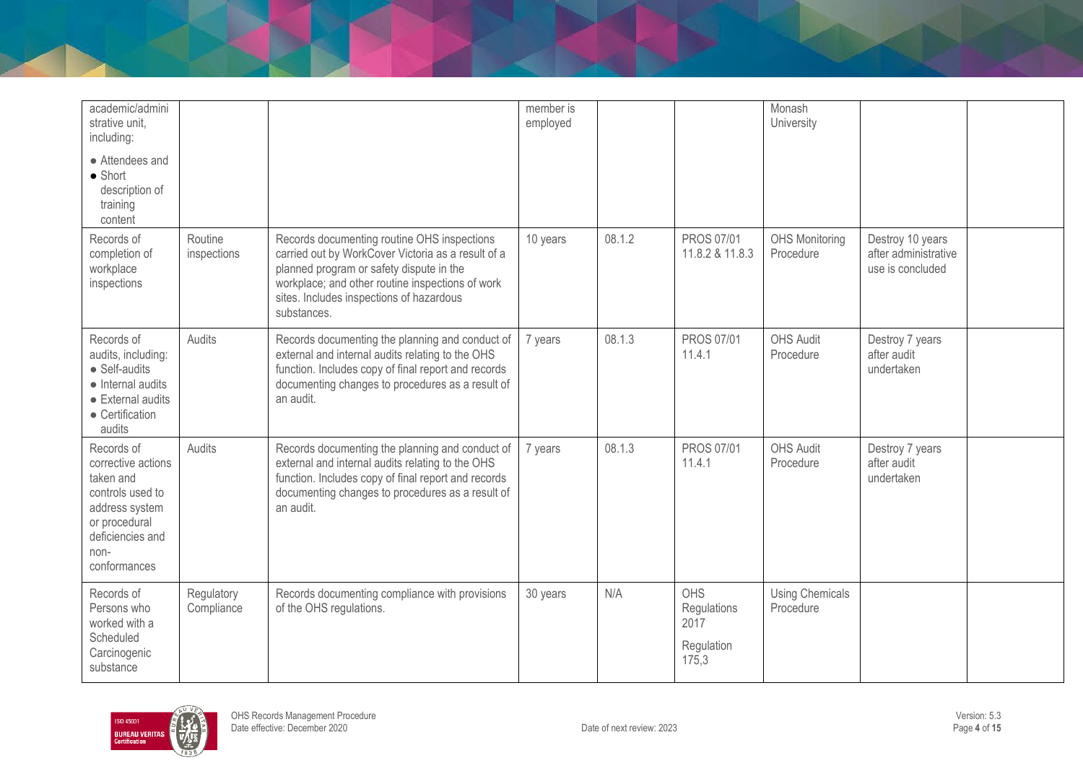| academic/admini<br>strative unit.<br>including:                                                                                                  |                          |                                                                                                                                                                                                                                                              | member is<br>employed |        |                                                          | Monash<br>University                |                                                              |  |
|--------------------------------------------------------------------------------------------------------------------------------------------------|--------------------------|--------------------------------------------------------------------------------------------------------------------------------------------------------------------------------------------------------------------------------------------------------------|-----------------------|--------|----------------------------------------------------------|-------------------------------------|--------------------------------------------------------------|--|
| • Attendees and<br>$\bullet$ Short<br>description of<br>training<br>content                                                                      |                          |                                                                                                                                                                                                                                                              |                       |        |                                                          |                                     |                                                              |  |
| Records of<br>completion of<br>workplace<br>inspections                                                                                          | Routine<br>inspections   | Records documenting routine OHS inspections<br>carried out by WorkCover Victoria as a result of a<br>planned program or safety dispute in the<br>workplace; and other routine inspections of work<br>sites. Includes inspections of hazardous<br>substances. | 10 years              | 08.1.2 | PROS 07/01<br>11.8.2 & 11.8.3                            | <b>OHS Monitoring</b><br>Procedure  | Destroy 10 years<br>after administrative<br>use is concluded |  |
| Records of<br>audits, including:<br>• Self-audits<br>• Internal audits<br>• External audits<br>• Certification<br>audits                         | Audits                   | Records documenting the planning and conduct of<br>external and internal audits relating to the OHS<br>function. Includes copy of final report and records<br>documenting changes to procedures as a result of<br>an audit.                                  | 7 years               | 08.1.3 | <b>PROS 07/01</b><br>11.4.1                              | <b>OHS Audit</b><br>Procedure       | Destroy 7 years<br>after audit<br>undertaken                 |  |
| Records of<br>corrective actions<br>taken and<br>controls used to<br>address system<br>or procedural<br>deficiencies and<br>non-<br>conformances | Audits                   | Records documenting the planning and conduct of<br>external and internal audits relating to the OHS<br>function. Includes copy of final report and records<br>documenting changes to procedures as a result of<br>an audit.                                  | 7 years               | 08.1.3 | PROS 07/01<br>11.4.1                                     | <b>OHS Audit</b><br>Procedure       | Destroy 7 years<br>after audit<br>undertaken                 |  |
| Records of<br>Persons who<br>worked with a<br>Scheduled<br>Carcinogenic<br>substance                                                             | Regulatory<br>Compliance | Records documenting compliance with provisions<br>of the OHS regulations.                                                                                                                                                                                    | 30 years              | N/A    | <b>OHS</b><br>Regulations<br>2017<br>Regulation<br>175,3 | <b>Using Chemicals</b><br>Procedure |                                                              |  |

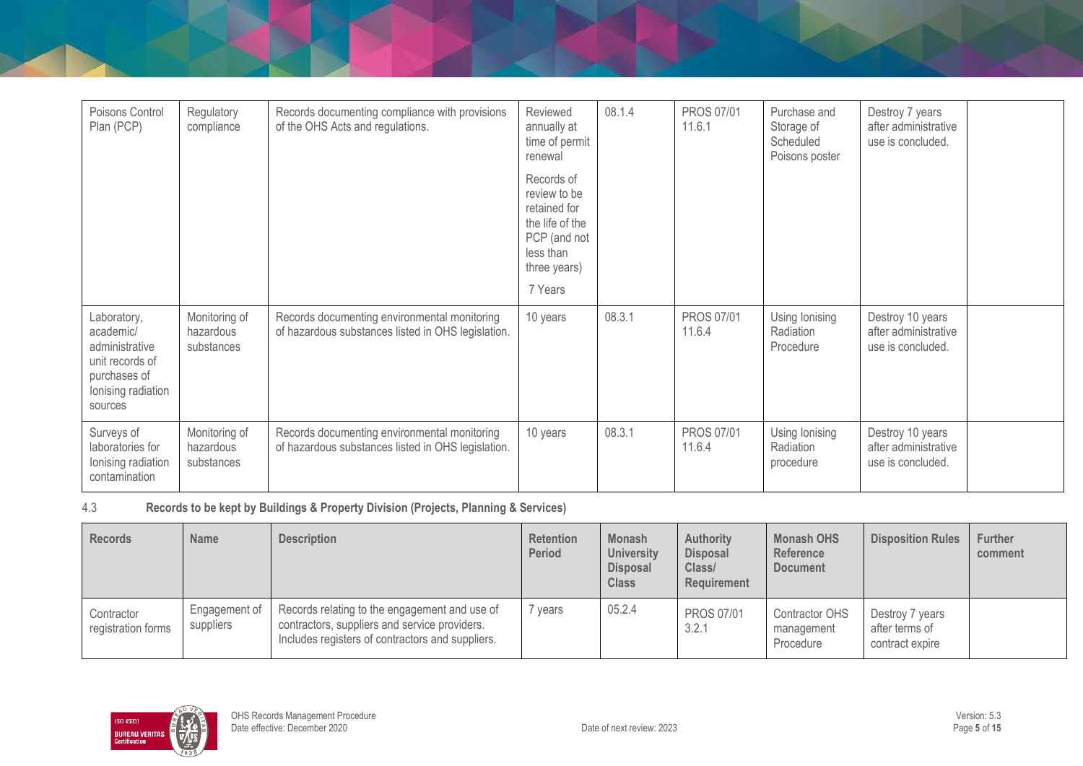| Poisons Control<br>Plan (PCP)                                                                                  | Regulatory<br>compliance                 | Records documenting compliance with provisions<br>of the OHS Acts and regulations.                 | Reviewed<br>annually at<br>time of permit<br>renewal<br>Records of<br>review to be<br>retained for<br>the life of the<br>PCP (and not<br>less than<br>three years)<br>7 Years | 08.1.4 | <b>PROS 07/01</b><br>11.6.1 | Purchase and<br>Storage of<br>Scheduled<br>Poisons poster | Destroy 7 years<br>after administrative<br>use is concluded.  |  |
|----------------------------------------------------------------------------------------------------------------|------------------------------------------|----------------------------------------------------------------------------------------------------|-------------------------------------------------------------------------------------------------------------------------------------------------------------------------------|--------|-----------------------------|-----------------------------------------------------------|---------------------------------------------------------------|--|
| Laboratory,<br>academic/<br>administrative<br>unit records of<br>purchases of<br>lonising radiation<br>sources | Monitoring of<br>hazardous<br>substances | Records documenting environmental monitoring<br>of hazardous substances listed in OHS legislation. | 10 years                                                                                                                                                                      | 08.3.1 | <b>PROS 07/01</b><br>11.6.4 | Using lonising<br>Radiation<br>Procedure                  | Destroy 10 years<br>after administrative<br>use is concluded. |  |
| Surveys of<br>laboratories for<br>Ionising radiation<br>contamination                                          | Monitoring of<br>hazardous<br>substances | Records documenting environmental monitoring<br>of hazardous substances listed in OHS legislation. | 10 years                                                                                                                                                                      | 08.3.1 | <b>PROS 07/01</b><br>11.6.4 | Using lonising<br>Radiation<br>procedure                  | Destroy 10 years<br>after administrative<br>use is concluded. |  |

#### 4.3 **Records to be kept by Buildings & Property Division (Projects, Planning & Services)**

| <b>Records</b>                   | <b>Name</b>                | <b>Description</b>                                                                                                                                 | <b>Retention</b><br><b>Period</b> | <b>Monash</b><br><b>University</b><br><b>Disposal</b><br><b>Class</b> | <b>Authority</b><br><b>Disposal</b><br>Class/<br>Requirement | <b>Monash OHS</b><br><b>Reference</b><br><b>Document</b> | <b>Disposition Rules</b>                             | <b>Further</b><br>comment |
|----------------------------------|----------------------------|----------------------------------------------------------------------------------------------------------------------------------------------------|-----------------------------------|-----------------------------------------------------------------------|--------------------------------------------------------------|----------------------------------------------------------|------------------------------------------------------|---------------------------|
| Contractor<br>registration forms | Engagement of<br>suppliers | Records relating to the engagement and use of<br>contractors, suppliers and service providers.<br>Includes registers of contractors and suppliers. | vears                             | 05.2.4                                                                | <b>PROS 07/01</b><br>3.2.1                                   | <b>Contractor OHS</b><br>management<br>Procedure         | Destroy 7 years<br>after terms of<br>contract expire |                           |

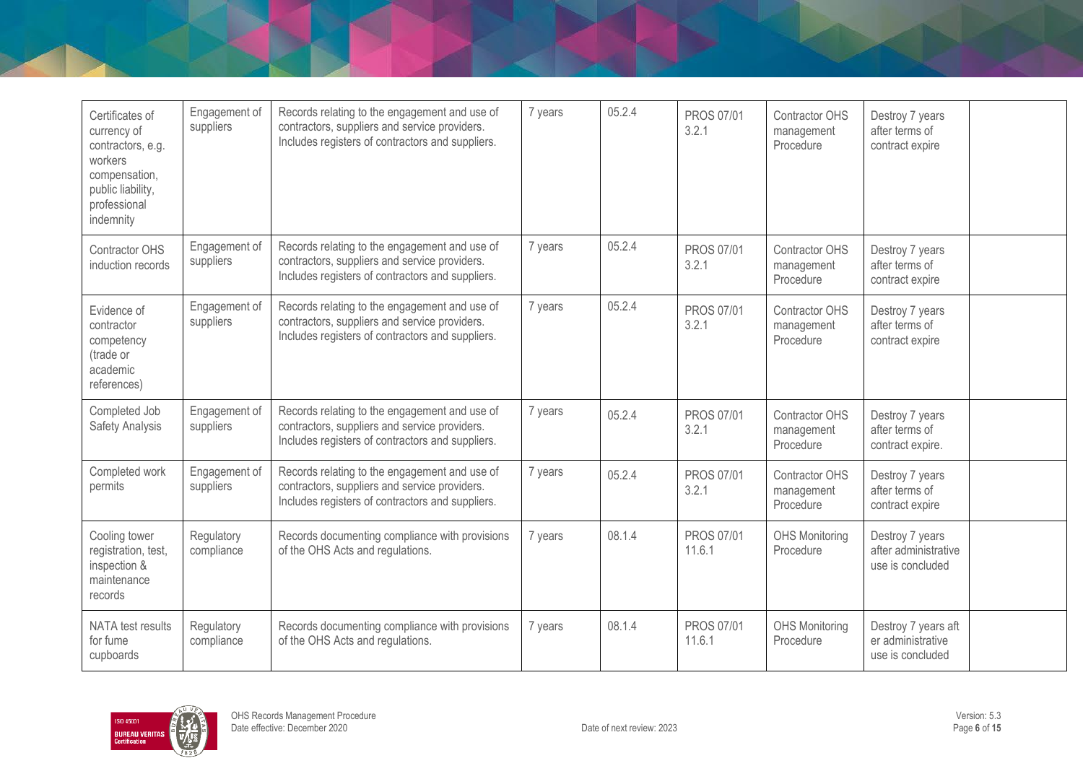| Certificates of<br>currency of<br>contractors, e.g.<br>workers<br>compensation,<br>public liability,<br>professional<br>indemnity | Engagement of<br>suppliers | Records relating to the engagement and use of<br>contractors, suppliers and service providers.<br>Includes registers of contractors and suppliers. | 7 years | 05.2.4 | PROS 07/01<br>3.2.1         | <b>Contractor OHS</b><br>management<br>Procedure | Destroy 7 years<br>after terms of<br>contract expire         |  |
|-----------------------------------------------------------------------------------------------------------------------------------|----------------------------|----------------------------------------------------------------------------------------------------------------------------------------------------|---------|--------|-----------------------------|--------------------------------------------------|--------------------------------------------------------------|--|
| <b>Contractor OHS</b><br>induction records                                                                                        | Engagement of<br>suppliers | Records relating to the engagement and use of<br>contractors, suppliers and service providers.<br>Includes registers of contractors and suppliers. | 7 years | 05.2.4 | <b>PROS 07/01</b><br>3.2.1  | <b>Contractor OHS</b><br>management<br>Procedure | Destroy 7 years<br>after terms of<br>contract expire         |  |
| Evidence of<br>contractor<br>competency<br>(trade or<br>academic<br>references)                                                   | Engagement of<br>suppliers | Records relating to the engagement and use of<br>contractors, suppliers and service providers.<br>Includes registers of contractors and suppliers. | 7 years | 05.2.4 | <b>PROS 07/01</b><br>3.2.1  | <b>Contractor OHS</b><br>management<br>Procedure | Destroy 7 years<br>after terms of<br>contract expire         |  |
| Completed Job<br>Safety Analysis                                                                                                  | Engagement of<br>suppliers | Records relating to the engagement and use of<br>contractors, suppliers and service providers.<br>Includes registers of contractors and suppliers. | 7 years | 05.2.4 | <b>PROS 07/01</b><br>3.2.1  | <b>Contractor OHS</b><br>management<br>Procedure | Destroy 7 years<br>after terms of<br>contract expire.        |  |
| Completed work<br>permits                                                                                                         | Engagement of<br>suppliers | Records relating to the engagement and use of<br>contractors, suppliers and service providers.<br>Includes registers of contractors and suppliers. | 7 years | 05.2.4 | <b>PROS 07/01</b><br>3.2.1  | <b>Contractor OHS</b><br>management<br>Procedure | Destroy 7 years<br>after terms of<br>contract expire         |  |
| Cooling tower<br>registration, test,<br>inspection &<br>maintenance<br>records                                                    | Regulatory<br>compliance   | Records documenting compliance with provisions<br>of the OHS Acts and regulations.                                                                 | 7 years | 08.1.4 | <b>PROS 07/01</b><br>11.6.1 | <b>OHS Monitoring</b><br>Procedure               | Destroy 7 years<br>after administrative<br>use is concluded  |  |
| NATA test results<br>for fume<br>cupboards                                                                                        | Regulatory<br>compliance   | Records documenting compliance with provisions<br>of the OHS Acts and regulations.                                                                 | 7 years | 08.1.4 | <b>PROS 07/01</b><br>11.6.1 | <b>OHS Monitoring</b><br>Procedure               | Destroy 7 years aft<br>er administrative<br>use is concluded |  |

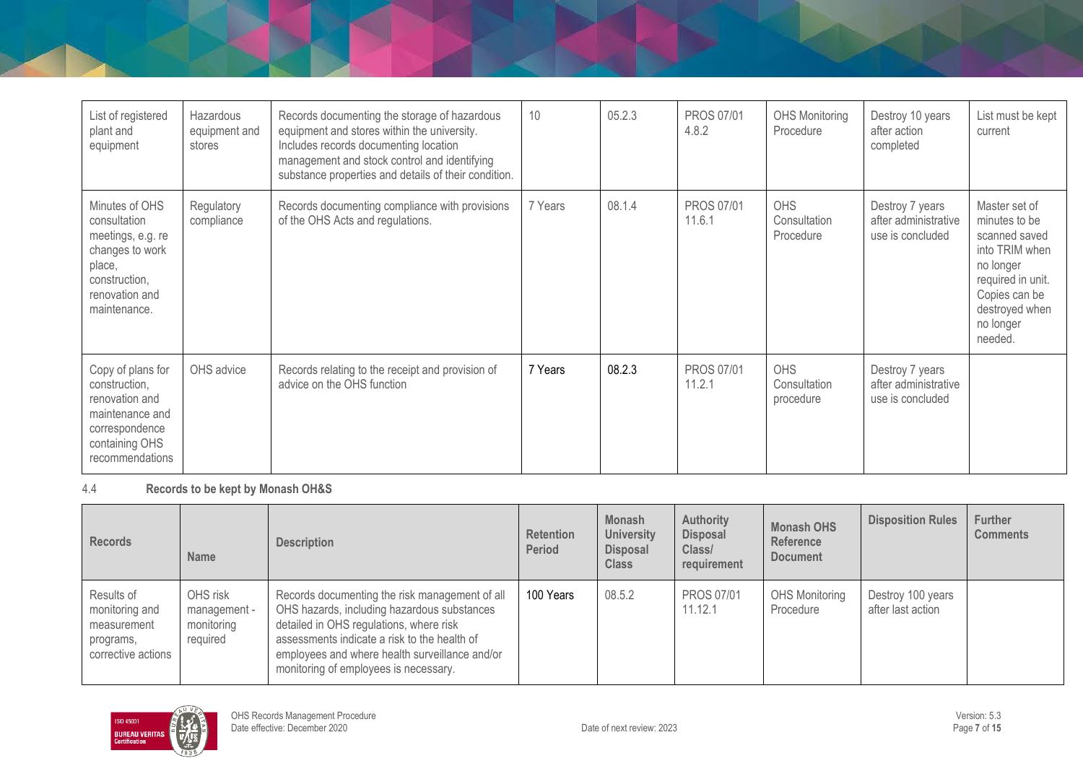| List of registered<br>plant and<br>equipment                                                                                        | Hazardous<br>equipment and<br>stores | Records documenting the storage of hazardous<br>equipment and stores within the university.<br>Includes records documenting location<br>management and stock control and identifying<br>substance properties and details of their condition. | 10      | 05.2.3 | <b>PROS 07/01</b><br>4.8.2  | <b>OHS Monitoring</b><br>Procedure      | Destroy 10 years<br>after action<br>completed               | List must be kept<br>current                                                                                                                                   |
|-------------------------------------------------------------------------------------------------------------------------------------|--------------------------------------|----------------------------------------------------------------------------------------------------------------------------------------------------------------------------------------------------------------------------------------------|---------|--------|-----------------------------|-----------------------------------------|-------------------------------------------------------------|----------------------------------------------------------------------------------------------------------------------------------------------------------------|
| Minutes of OHS<br>consultation<br>meetings, e.g. re<br>changes to work<br>place,<br>construction,<br>renovation and<br>maintenance. | Regulatory<br>compliance             | Records documenting compliance with provisions<br>of the OHS Acts and regulations.                                                                                                                                                           | 7 Years | 08.1.4 | <b>PROS 07/01</b><br>11.6.1 | <b>OHS</b><br>Consultation<br>Procedure | Destroy 7 years<br>after administrative<br>use is concluded | Master set of<br>minutes to be<br>scanned saved<br>into TRIM when<br>no longer<br>required in unit.<br>Copies can be<br>destroyed when<br>no longer<br>needed. |
| Copy of plans for<br>construction,<br>renovation and<br>maintenance and<br>correspondence<br>containing OHS<br>recommendations      | OHS advice                           | Records relating to the receipt and provision of<br>advice on the OHS function                                                                                                                                                               | 7 Years | 08.2.3 | <b>PROS 07/01</b><br>11.2.1 | <b>OHS</b><br>Consultation<br>procedure | Destroy 7 years<br>after administrative<br>use is concluded |                                                                                                                                                                |

4.4 **Records to be kept by Monash OH&S**

| <b>Records</b>                                                                 | <b>Name</b>                                        | <b>Description</b>                                                                                                                                                                                                                                                                  | <b>Retention</b><br>Period | <b>Monash</b><br><b>University</b><br><b>Disposal</b><br><b>Class</b> | <b>Authority</b><br><b>Disposal</b><br>Class/<br>requirement | <b>Monash OHS</b><br>Reference<br><b>Document</b> | <b>Disposition Rules</b>               | <b>Further</b><br><b>Comments</b> |
|--------------------------------------------------------------------------------|----------------------------------------------------|-------------------------------------------------------------------------------------------------------------------------------------------------------------------------------------------------------------------------------------------------------------------------------------|----------------------------|-----------------------------------------------------------------------|--------------------------------------------------------------|---------------------------------------------------|----------------------------------------|-----------------------------------|
| Results of<br>monitoring and<br>measurement<br>programs,<br>corrective actions | OHS risk<br>management -<br>monitoring<br>required | Records documenting the risk management of all<br>OHS hazards, including hazardous substances<br>detailed in OHS regulations, where risk<br>assessments indicate a risk to the health of<br>employees and where health surveillance and/or<br>monitoring of employees is necessary. | 100 Years                  | 08.5.2                                                                | <b>PROS 07/01</b><br>11.12.1                                 | <b>OHS Monitoring</b><br>Procedure                | Destroy 100 years<br>after last action |                                   |

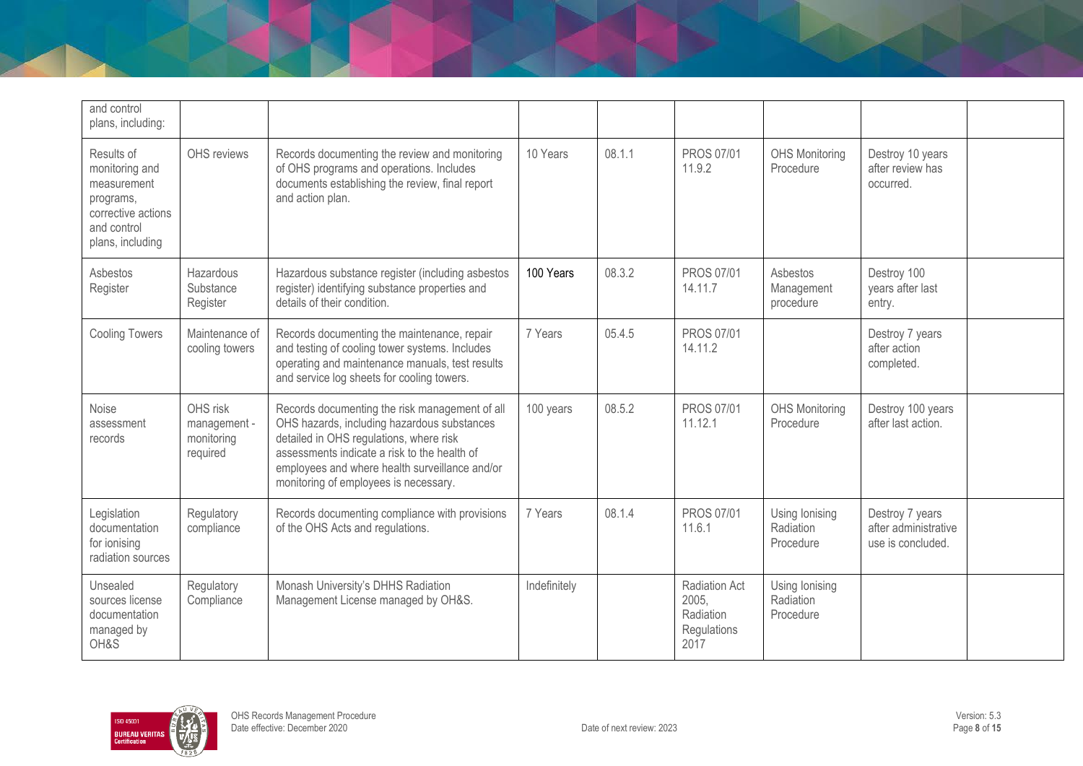| and control<br>plans, including:                                                                                  |                                                    |                                                                                                                                                                                                                                                                                     |              |        |                                                                   |                                          |                                                              |  |
|-------------------------------------------------------------------------------------------------------------------|----------------------------------------------------|-------------------------------------------------------------------------------------------------------------------------------------------------------------------------------------------------------------------------------------------------------------------------------------|--------------|--------|-------------------------------------------------------------------|------------------------------------------|--------------------------------------------------------------|--|
| Results of<br>monitoring and<br>measurement<br>programs,<br>corrective actions<br>and control<br>plans, including | OHS reviews                                        | Records documenting the review and monitoring<br>of OHS programs and operations. Includes<br>documents establishing the review, final report<br>and action plan.                                                                                                                    | 10 Years     | 08.1.1 | <b>PROS 07/01</b><br>11.9.2                                       | <b>OHS Monitoring</b><br>Procedure       | Destroy 10 years<br>after review has<br>occurred.            |  |
| Asbestos<br>Register                                                                                              | Hazardous<br>Substance<br>Register                 | Hazardous substance register (including asbestos<br>register) identifying substance properties and<br>details of their condition.                                                                                                                                                   | 100 Years    | 08.3.2 | <b>PROS 07/01</b><br>14.11.7                                      | Asbestos<br>Management<br>procedure      | Destroy 100<br>years after last<br>entry.                    |  |
| <b>Cooling Towers</b>                                                                                             | Maintenance of<br>cooling towers                   | Records documenting the maintenance, repair<br>and testing of cooling tower systems. Includes<br>operating and maintenance manuals, test results<br>and service log sheets for cooling towers.                                                                                      | 7 Years      | 05.4.5 | <b>PROS 07/01</b><br>14.11.2                                      |                                          | Destroy 7 years<br>after action<br>completed.                |  |
| Noise<br>assessment<br>records                                                                                    | OHS risk<br>management -<br>monitoring<br>required | Records documenting the risk management of all<br>OHS hazards, including hazardous substances<br>detailed in OHS regulations, where risk<br>assessments indicate a risk to the health of<br>employees and where health surveillance and/or<br>monitoring of employees is necessary. | 100 years    | 08.5.2 | <b>PROS 07/01</b><br>11.12.1                                      | <b>OHS Monitoring</b><br>Procedure       | Destroy 100 years<br>after last action.                      |  |
| Legislation<br>documentation<br>for ionising<br>radiation sources                                                 | Regulatory<br>compliance                           | Records documenting compliance with provisions<br>of the OHS Acts and regulations.                                                                                                                                                                                                  | 7 Years      | 08.1.4 | <b>PROS 07/01</b><br>11.6.1                                       | Using lonising<br>Radiation<br>Procedure | Destroy 7 years<br>after administrative<br>use is concluded. |  |
| Unsealed<br>sources license<br>documentation<br>managed by<br>OH&S                                                | Regulatory<br>Compliance                           | Monash University's DHHS Radiation<br>Management License managed by OH&S.                                                                                                                                                                                                           | Indefinitely |        | <b>Radiation Act</b><br>2005.<br>Radiation<br>Regulations<br>2017 | Using lonising<br>Radiation<br>Procedure |                                                              |  |

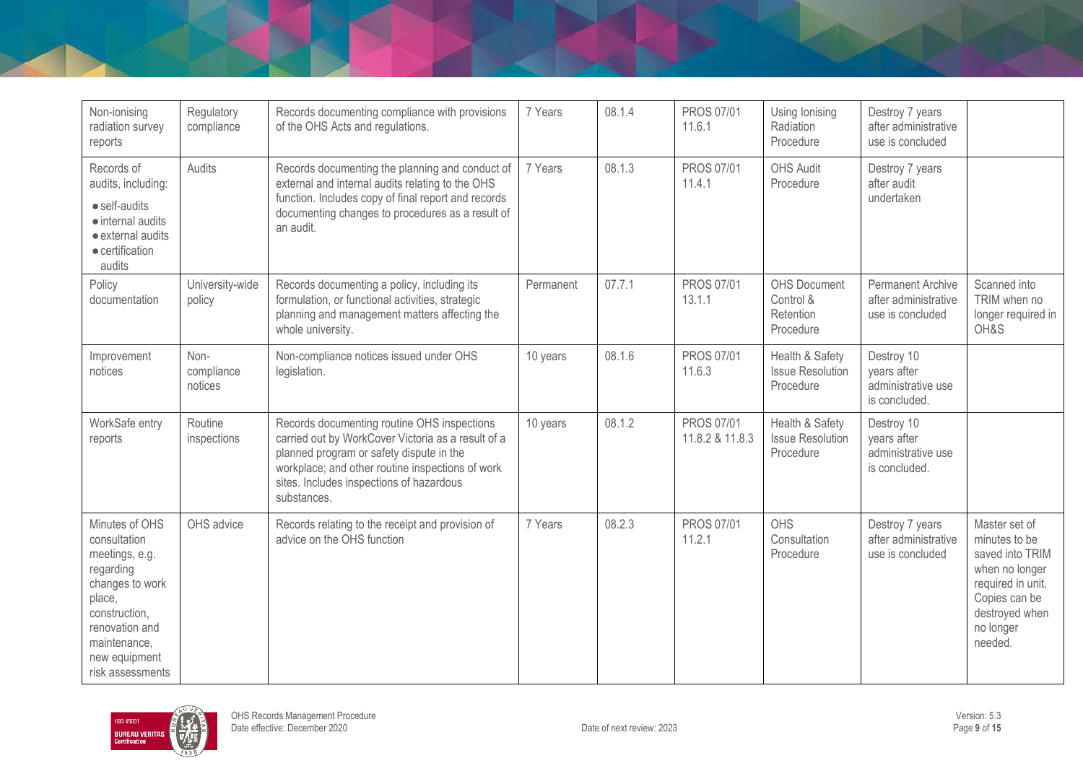| Non-ionising<br>radiation survey<br>reports                                                                                                                                        | Regulatory<br>compliance      | Records documenting compliance with provisions<br>of the OHS Acts and regulations.                                                                                                                                                                           | 7 Years   | 08.1.4 | PROS 07/01<br>11.6.1          | Using Ionising<br>Radiation<br>Procedure                   | Destroy 7 years<br>after administrative<br>use is concluded          |                                                                                                                                                     |
|------------------------------------------------------------------------------------------------------------------------------------------------------------------------------------|-------------------------------|--------------------------------------------------------------------------------------------------------------------------------------------------------------------------------------------------------------------------------------------------------------|-----------|--------|-------------------------------|------------------------------------------------------------|----------------------------------------------------------------------|-----------------------------------------------------------------------------------------------------------------------------------------------------|
| Records of<br>audits, including:<br>$\bullet$ self-audits<br>$\bullet$ internal audits<br>• external audits<br>• certification<br>audits                                           | Audits                        | Records documenting the planning and conduct of<br>external and internal audits relating to the OHS<br>function. Includes copy of final report and records<br>documenting changes to procedures as a result of<br>an audit.                                  | 7 Years   | 08.1.3 | <b>PROS 07/01</b><br>11.4.1   | <b>OHS Audit</b><br>Procedure                              | Destroy 7 years<br>after audit<br>undertaken                         |                                                                                                                                                     |
| Policy<br>documentation                                                                                                                                                            | University-wide<br>policy     | Records documenting a policy, including its<br>formulation, or functional activities, strategic<br>planning and management matters affecting the<br>whole university.                                                                                        | Permanent | 07.7.1 | <b>PROS 07/01</b><br>13.1.1   | <b>OHS Document</b><br>Control &<br>Retention<br>Procedure | <b>Permanent Archive</b><br>after administrative<br>use is concluded | Scanned into<br>TRIM when no<br>longer required in<br>OH&S                                                                                          |
| Improvement<br>notices                                                                                                                                                             | Non-<br>compliance<br>notices | Non-compliance notices issued under OHS<br>legislation.                                                                                                                                                                                                      | 10 years  | 08.1.6 | <b>PROS 07/01</b><br>11.6.3   | Health & Safety<br><b>Issue Resolution</b><br>Procedure    | Destroy 10<br>vears after<br>administrative use<br>is concluded.     |                                                                                                                                                     |
| WorkSafe entry<br>reports                                                                                                                                                          | Routine<br>inspections        | Records documenting routine OHS inspections<br>carried out by WorkCover Victoria as a result of a<br>planned program or safety dispute in the<br>workplace; and other routine inspections of work<br>sites. Includes inspections of hazardous<br>substances. | 10 years  | 08.1.2 | PROS 07/01<br>11.8.2 & 11.8.3 | Health & Safety<br><b>Issue Resolution</b><br>Procedure    | Destroy 10<br>years after<br>administrative use<br>is concluded.     |                                                                                                                                                     |
| Minutes of OHS<br>consultation<br>meetings, e.g.<br>regarding<br>changes to work<br>place,<br>construction,<br>renovation and<br>maintenance,<br>new equipment<br>risk assessments | OHS advice                    | Records relating to the receipt and provision of<br>advice on the OHS function                                                                                                                                                                               | 7 Years   | 08.2.3 | <b>PROS 07/01</b><br>11.2.1   | OHS<br>Consultation<br>Procedure                           | Destroy 7 years<br>after administrative<br>use is concluded          | Master set of<br>minutes to be<br>saved into TRIM<br>when no longer<br>required in unit.<br>Copies can be<br>destroyed when<br>no longer<br>needed. |

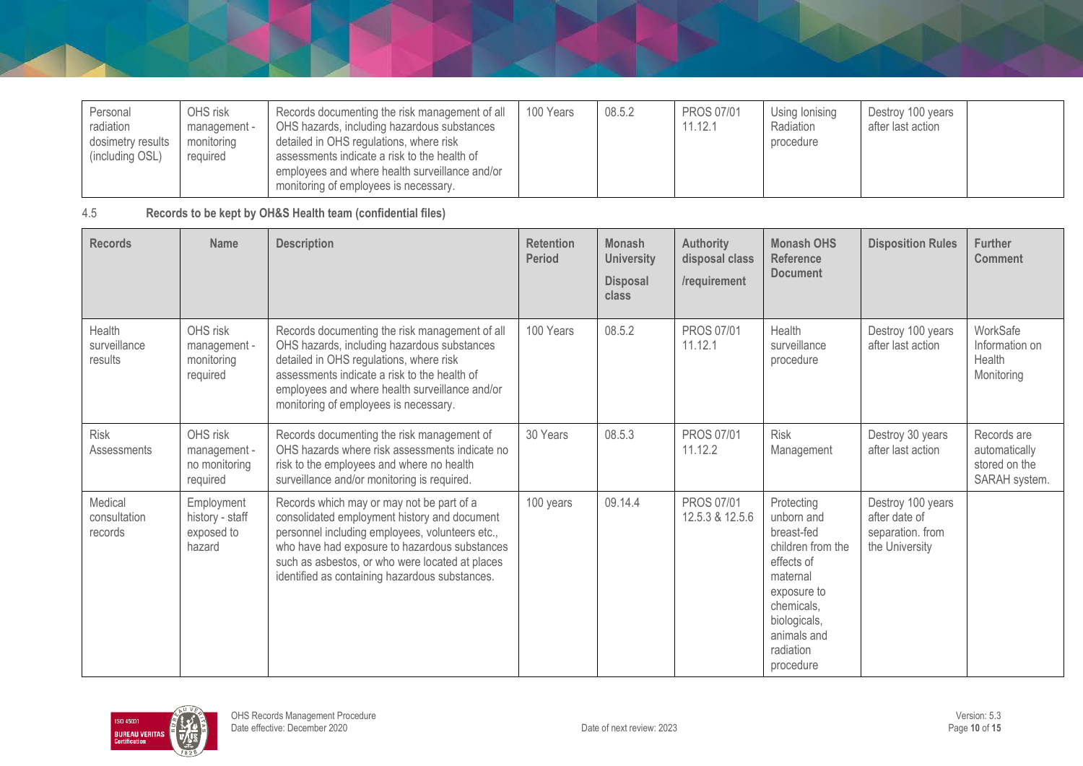| Personal<br>radiation<br>dosimetry results<br>(including OSL) | OHS risk<br>management -<br>monitoring<br>required | Records documenting the risk management of all<br>OHS hazards, including hazardous substances<br>detailed in OHS regulations, where risk<br>assessments indicate a risk to the health of<br>employees and where health surveillance and/or | 100 Years | 08.5.2 | <b>PROS 07/01</b><br>11.12.1 | Using lonising<br>Radiation<br>procedure | Destroy 100 years<br>after last action |  |
|---------------------------------------------------------------|----------------------------------------------------|--------------------------------------------------------------------------------------------------------------------------------------------------------------------------------------------------------------------------------------------|-----------|--------|------------------------------|------------------------------------------|----------------------------------------|--|
|                                                               |                                                    | monitoring of employees is necessary.                                                                                                                                                                                                      |           |        |                              |                                          |                                        |  |

4.5 **Records to be kept by OH&S Health team (confidential files)**

| <b>Records</b>                           | <b>Name</b>                                           | <b>Description</b>                                                                                                                                                                                                                                                                                 | <b>Retention</b><br><b>Period</b> | <b>Monash</b><br><b>University</b><br><b>Disposal</b><br>class | <b>Authority</b><br>disposal class<br>/requirement | <b>Monash OHS</b><br><b>Reference</b><br><b>Document</b>                                                                                                                    | <b>Disposition Rules</b>                                                 | <b>Further</b><br><b>Comment</b>                               |
|------------------------------------------|-------------------------------------------------------|----------------------------------------------------------------------------------------------------------------------------------------------------------------------------------------------------------------------------------------------------------------------------------------------------|-----------------------------------|----------------------------------------------------------------|----------------------------------------------------|-----------------------------------------------------------------------------------------------------------------------------------------------------------------------------|--------------------------------------------------------------------------|----------------------------------------------------------------|
| <b>Health</b><br>surveillance<br>results | OHS risk<br>management -<br>monitoring<br>required    | Records documenting the risk management of all<br>OHS hazards, including hazardous substances<br>detailed in OHS regulations, where risk<br>assessments indicate a risk to the health of<br>employees and where health surveillance and/or<br>monitoring of employees is necessary.                | 100 Years                         | 08.5.2                                                         | <b>PROS 07/01</b><br>11.12.1                       | Health<br>surveillance<br>procedure                                                                                                                                         | Destroy 100 years<br>after last action                                   | WorkSafe<br>Information on<br>Health<br>Monitoring             |
| <b>Risk</b><br>Assessments               | OHS risk<br>management -<br>no monitoring<br>required | Records documenting the risk management of<br>OHS hazards where risk assessments indicate no<br>risk to the employees and where no health<br>surveillance and/or monitoring is required.                                                                                                           | 30 Years                          | 08.5.3                                                         | <b>PROS 07/01</b><br>11.12.2                       | <b>Risk</b><br>Management                                                                                                                                                   | Destroy 30 years<br>after last action                                    | Records are<br>automatically<br>stored on the<br>SARAH system. |
| Medical<br>consultation<br>records       | Employment<br>history - staff<br>exposed to<br>hazard | Records which may or may not be part of a<br>consolidated employment history and document<br>personnel including employees, volunteers etc.,<br>who have had exposure to hazardous substances<br>such as asbestos, or who were located at places<br>identified as containing hazardous substances. | 100 years                         | 09.14.4                                                        | <b>PROS 07/01</b><br>12.5.3 & 12.5.6               | Protecting<br>unborn and<br>breast-fed<br>children from the<br>effects of<br>maternal<br>exposure to<br>chemicals,<br>biologicals,<br>animals and<br>radiation<br>procedure | Destroy 100 years<br>after date of<br>separation. from<br>the University |                                                                |

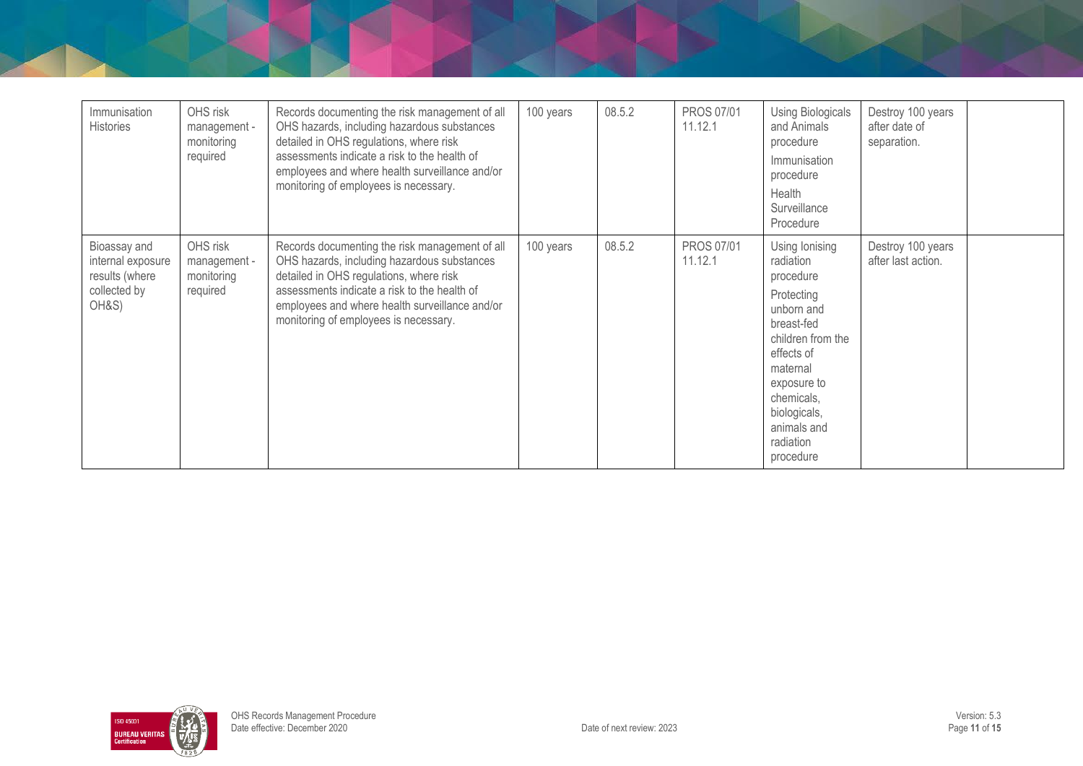| Immunisation<br><b>Histories</b>                                             | OHS risk<br>management -<br>monitoring<br>required | Records documenting the risk management of all<br>OHS hazards, including hazardous substances<br>detailed in OHS regulations, where risk<br>assessments indicate a risk to the health of<br>employees and where health surveillance and/or<br>monitoring of employees is necessary. | 100 years | 08.5.2 | PROS 07/01<br>11.12.1        | <b>Using Biologicals</b><br>and Animals<br>procedure<br>Immunisation<br>procedure<br>Health<br>Surveillance<br>Procedure                                                                                                | Destroy 100 years<br>after date of<br>separation. |  |
|------------------------------------------------------------------------------|----------------------------------------------------|-------------------------------------------------------------------------------------------------------------------------------------------------------------------------------------------------------------------------------------------------------------------------------------|-----------|--------|------------------------------|-------------------------------------------------------------------------------------------------------------------------------------------------------------------------------------------------------------------------|---------------------------------------------------|--|
| Bioassay and<br>internal exposure<br>results (where<br>collected by<br>OH&S) | OHS risk<br>management -<br>monitoring<br>required | Records documenting the risk management of all<br>OHS hazards, including hazardous substances<br>detailed in OHS regulations, where risk<br>assessments indicate a risk to the health of<br>employees and where health surveillance and/or<br>monitoring of employees is necessary. | 100 years | 08.5.2 | <b>PROS 07/01</b><br>11.12.1 | Using lonising<br>radiation<br>procedure<br>Protecting<br>unborn and<br>breast-fed<br>children from the<br>effects of<br>maternal<br>exposure to<br>chemicals,<br>biologicals,<br>animals and<br>radiation<br>procedure | Destroy 100 years<br>after last action.           |  |

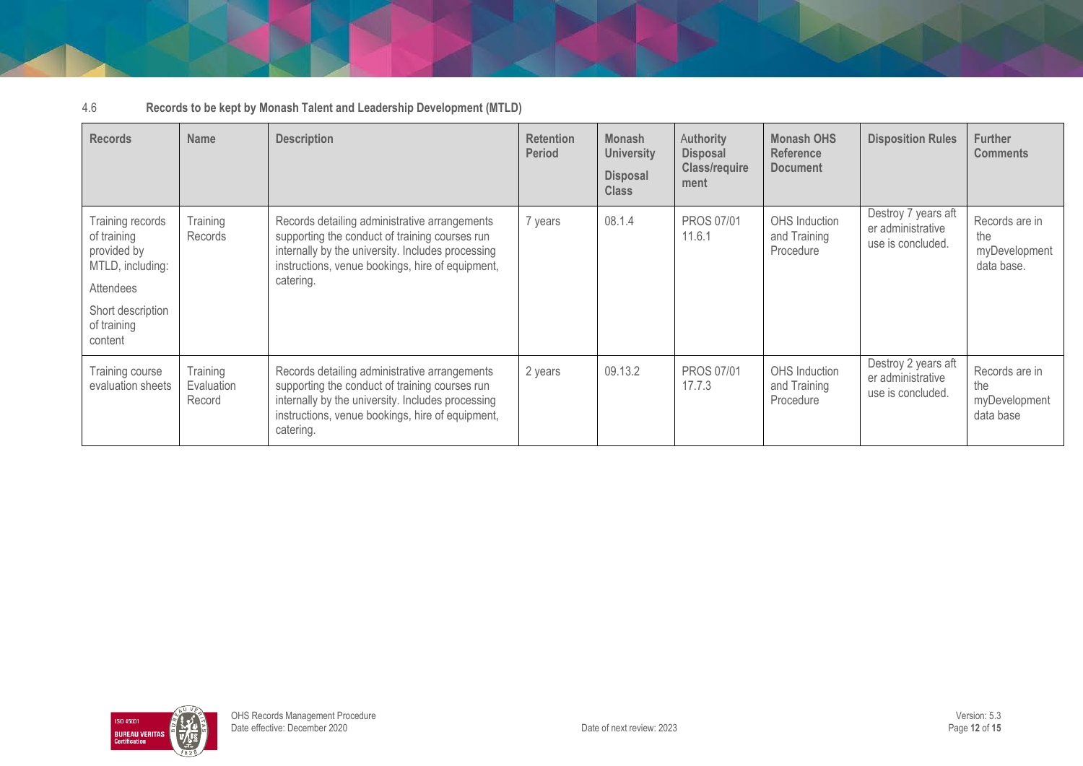| 4.6 | Records to be kept by Monash Talent and Leadership Development (MTLD) |
|-----|-----------------------------------------------------------------------|
|-----|-----------------------------------------------------------------------|

| <b>Records</b>                                                                                                                 | <b>Name</b>                      | <b>Description</b>                                                                                                                                                                                                    | <b>Retention</b><br><b>Period</b> | <b>Monash</b><br><b>University</b><br><b>Disposal</b><br><b>Class</b> | <b>Authority</b><br><b>Disposal</b><br><b>Class/require</b><br>ment | <b>Monash OHS</b><br><b>Reference</b><br><b>Document</b> | <b>Disposition Rules</b>                                      | <b>Further</b><br><b>Comments</b>                    |
|--------------------------------------------------------------------------------------------------------------------------------|----------------------------------|-----------------------------------------------------------------------------------------------------------------------------------------------------------------------------------------------------------------------|-----------------------------------|-----------------------------------------------------------------------|---------------------------------------------------------------------|----------------------------------------------------------|---------------------------------------------------------------|------------------------------------------------------|
| Training records<br>of training<br>provided by<br>MTLD, including:<br>Attendees<br>Short description<br>of training<br>content | Training<br><b>Records</b>       | Records detailing administrative arrangements<br>supporting the conduct of training courses run<br>internally by the university. Includes processing<br>instructions, venue bookings, hire of equipment,<br>catering. | 7 years                           | 08.1.4                                                                | <b>PROS 07/01</b><br>11.6.1                                         | OHS Induction<br>and Training<br>Procedure               | Destroy 7 years aft<br>er administrative<br>use is concluded. | Records are in<br>the<br>myDevelopment<br>data base. |
| Training course<br>evaluation sheets                                                                                           | Training<br>Evaluation<br>Record | Records detailing administrative arrangements<br>supporting the conduct of training courses run<br>internally by the university. Includes processing<br>instructions, venue bookings, hire of equipment,<br>catering. | 2 years                           | 09.13.2                                                               | <b>PROS 07/01</b><br>17.7.3                                         | OHS Induction<br>and Training<br>Procedure               | Destroy 2 years aft<br>er administrative<br>use is concluded. | Records are in<br>the<br>myDevelopment<br>data base  |

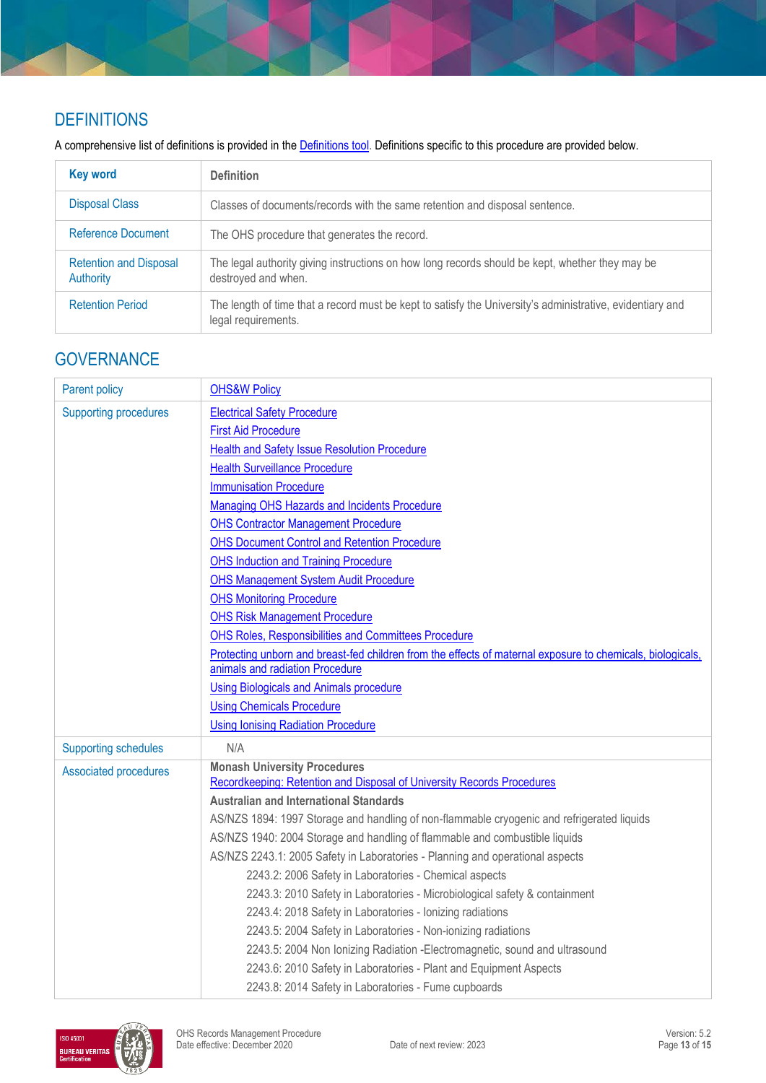# **DEFINITIONS**

A comprehensive list of definitions is provided in the **Definitions tool**. Definitions specific to this procedure are provided below.

| <b>Key word</b>                                   | <b>Definition</b>                                                                                                                |
|---------------------------------------------------|----------------------------------------------------------------------------------------------------------------------------------|
| <b>Disposal Class</b>                             | Classes of documents/records with the same retention and disposal sentence.                                                      |
| Reference Document                                | The OHS procedure that generates the record.                                                                                     |
| <b>Retention and Disposal</b><br><b>Authority</b> | The legal authority giving instructions on how long records should be kept, whether they may be<br>destroyed and when.           |
| <b>Retention Period</b>                           | The length of time that a record must be kept to satisfy the University's administrative, evidentiary and<br>legal requirements. |

## **GOVERNANCE**

| Parent policy                | <b>OHS&amp;W Policy</b>                                                                                    |
|------------------------------|------------------------------------------------------------------------------------------------------------|
| <b>Supporting procedures</b> | <b>Electrical Safety Procedure</b>                                                                         |
|                              | <b>First Aid Procedure</b>                                                                                 |
|                              | <b>Health and Safety Issue Resolution Procedure</b>                                                        |
|                              | <b>Health Surveillance Procedure</b>                                                                       |
|                              | <b>Immunisation Procedure</b>                                                                              |
|                              | Managing OHS Hazards and Incidents Procedure                                                               |
|                              | <b>OHS Contractor Management Procedure</b>                                                                 |
|                              | <b>OHS Document Control and Retention Procedure</b>                                                        |
|                              | <b>OHS Induction and Training Procedure</b>                                                                |
|                              | <b>OHS Management System Audit Procedure</b>                                                               |
|                              | <b>OHS Monitoring Procedure</b>                                                                            |
|                              | <b>OHS Risk Management Procedure</b>                                                                       |
|                              | OHS Roles, Responsibilities and Committees Procedure                                                       |
|                              | Protecting unborn and breast-fed children from the effects of maternal exposure to chemicals, biologicals, |
|                              | animals and radiation Procedure                                                                            |
|                              | <b>Using Biologicals and Animals procedure</b>                                                             |
|                              | <b>Using Chemicals Procedure</b>                                                                           |
|                              | <b>Using Ionising Radiation Procedure</b>                                                                  |
| <b>Supporting schedules</b>  | N/A                                                                                                        |
| <b>Associated procedures</b> | <b>Monash University Procedures</b>                                                                        |
|                              | Recordkeeping: Retention and Disposal of University Records Procedures                                     |
|                              | <b>Australian and International Standards</b>                                                              |
|                              | AS/NZS 1894: 1997 Storage and handling of non-flammable cryogenic and refrigerated liquids                 |
|                              | AS/NZS 1940: 2004 Storage and handling of flammable and combustible liquids                                |
|                              | AS/NZS 2243.1: 2005 Safety in Laboratories - Planning and operational aspects                              |
|                              | 2243.2: 2006 Safety in Laboratories - Chemical aspects                                                     |
|                              | 2243.3: 2010 Safety in Laboratories - Microbiological safety & containment                                 |
|                              | 2243.4: 2018 Safety in Laboratories - lonizing radiations                                                  |
|                              | 2243.5: 2004 Safety in Laboratories - Non-ionizing radiations                                              |
|                              | 2243.5: 2004 Non Ionizing Radiation - Electromagnetic, sound and ultrasound                                |
|                              | 2243.6: 2010 Safety in Laboratories - Plant and Equipment Aspects                                          |
|                              | 2243.8: 2014 Safety in Laboratories - Fume cupboards                                                       |

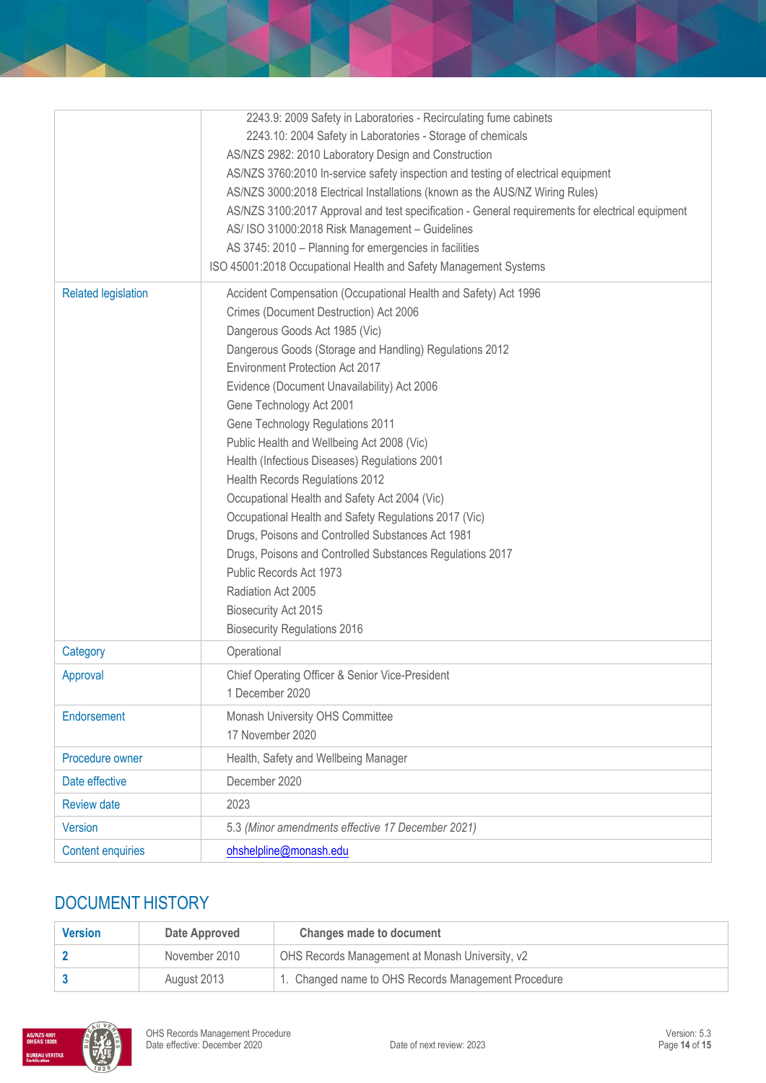|                            | 2243.9: 2009 Safety in Laboratories - Recirculating fume cabinets                                |
|----------------------------|--------------------------------------------------------------------------------------------------|
|                            | 2243.10: 2004 Safety in Laboratories - Storage of chemicals                                      |
|                            | AS/NZS 2982: 2010 Laboratory Design and Construction                                             |
|                            | AS/NZS 3760:2010 In-service safety inspection and testing of electrical equipment                |
|                            | AS/NZS 3000:2018 Electrical Installations (known as the AUS/NZ Wiring Rules)                     |
|                            | AS/NZS 3100:2017 Approval and test specification - General requirements for electrical equipment |
|                            | AS/ ISO 31000:2018 Risk Management - Guidelines                                                  |
|                            | AS 3745: 2010 - Planning for emergencies in facilities                                           |
|                            | ISO 45001:2018 Occupational Health and Safety Management Systems                                 |
| <b>Related legislation</b> | Accident Compensation (Occupational Health and Safety) Act 1996                                  |
|                            | Crimes (Document Destruction) Act 2006                                                           |
|                            | Dangerous Goods Act 1985 (Vic)                                                                   |
|                            | Dangerous Goods (Storage and Handling) Regulations 2012                                          |
|                            | Environment Protection Act 2017                                                                  |
|                            | Evidence (Document Unavailability) Act 2006                                                      |
|                            | Gene Technology Act 2001                                                                         |
|                            | Gene Technology Regulations 2011                                                                 |
|                            | Public Health and Wellbeing Act 2008 (Vic)                                                       |
|                            | Health (Infectious Diseases) Regulations 2001                                                    |
|                            | Health Records Regulations 2012                                                                  |
|                            | Occupational Health and Safety Act 2004 (Vic)                                                    |
|                            | Occupational Health and Safety Regulations 2017 (Vic)                                            |
|                            | Drugs, Poisons and Controlled Substances Act 1981                                                |
|                            | Drugs, Poisons and Controlled Substances Regulations 2017                                        |
|                            | Public Records Act 1973                                                                          |
|                            | Radiation Act 2005                                                                               |
|                            | <b>Biosecurity Act 2015</b>                                                                      |
|                            | <b>Biosecurity Regulations 2016</b>                                                              |
| Category                   | Operational                                                                                      |
| Approval                   | Chief Operating Officer & Senior Vice-President                                                  |
|                            | 1 December 2020                                                                                  |
| Endorsement                | Monash University OHS Committee                                                                  |
|                            | 17 November 2020                                                                                 |
| Procedure owner            | Health, Safety and Wellbeing Manager                                                             |
| Date effective             | December 2020                                                                                    |
| <b>Review date</b>         | 2023                                                                                             |
| Version                    | 5.3 (Minor amendments effective 17 December 2021)                                                |
| <b>Content enquiries</b>   | ohshelpline@monash.edu                                                                           |

# DOCUMENT HISTORY

| <b>Version</b> | Date Approved | Changes made to document                            |
|----------------|---------------|-----------------------------------------------------|
|                | November 2010 | OHS Records Management at Monash University, v2     |
|                | August 2013   | 1. Changed name to OHS Records Management Procedure |